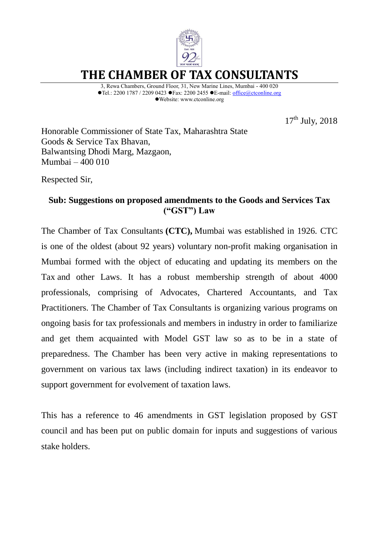

**THE CHAMBER OF TAX CONSULTANTS**

3, Rewa Chambers, Ground Floor, 31, New Marine Lines, Mumbai - 400 020  $\blacktriangleright$ Tel.: 2200 1787 / 2209 0423  $\blacktriangleright$  Fax: 2200 2455  $\blacktriangleright$  E-mail: [office@ctconline.org](mailto:office@ctconline.org) Website: ww[w.ctconline.org](http://www.citcindia.org/)

17<sup>th</sup> July, 2018

Honorable Commissioner of State Tax, Maharashtra State Goods & Service Tax Bhavan, Balwantsing Dhodi Marg, Mazgaon, Mumbai – 400 010

Respected Sir,

# **Sub: Suggestions on proposed amendments to the Goods and Services Tax ("GST") Law**

The Chamber of Tax Consultants **(CTC),** Mumbai was established in 1926. CTC is one of the oldest (about 92 years) voluntary non-profit making organisation in Mumbai formed with the object of educating and updating its members on the Tax and other Laws. It has a robust membership strength of about 4000 professionals, comprising of Advocates, Chartered Accountants, and Tax Practitioners. The Chamber of Tax Consultants is organizing various programs on ongoing basis for tax professionals and members in industry in order to familiarize and get them acquainted with Model GST law so as to be in a state of preparedness. The Chamber has been very active in making representations to government on various tax laws (including indirect taxation) in its endeavor to support government for evolvement of taxation laws.

This has a reference to 46 amendments in GST legislation proposed by GST council and has been put on public domain for inputs and suggestions of various stake holders.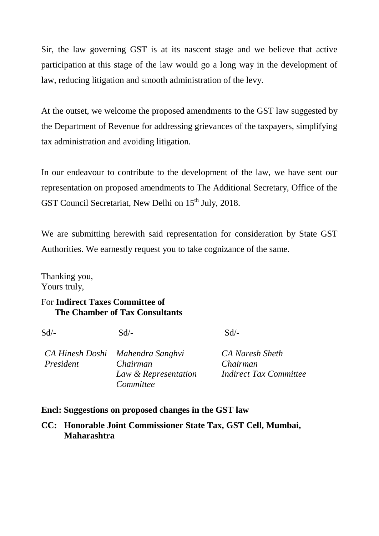Sir, the law governing GST is at its nascent stage and we believe that active participation at this stage of the law would go a long way in the development of law, reducing litigation and smooth administration of the levy.

At the outset, we welcome the proposed amendments to the GST law suggested by the Department of Revenue for addressing grievances of the taxpayers, simplifying tax administration and avoiding litigation.

In our endeavour to contribute to the development of the law, we have sent our representation on proposed amendments to The Additional Secretary, Office of the GST Council Secretariat, New Delhi on 15<sup>th</sup> July, 2018.

We are submitting herewith said representation for consideration by State GST Authorities. We earnestly request you to take cognizance of the same.

Thanking you, Yours truly,

# For **Indirect Taxes Committee of The Chamber of Tax Consultants**

| Sd/-      | $Sd/-$                           | $Sd$ /-          |  |
|-----------|----------------------------------|------------------|--|
|           | CA Hinesh Doshi Mahendra Sanghvi | <b>CA</b> Naresi |  |
| President | Chairman                         | Chairman         |  |

*CA Naresh Sheth Indirect Tax Committee*

# **Encl: Suggestions on proposed changes in the GST law**

*Committee* 

**CC: Honorable Joint Commissioner State Tax, GST Cell, Mumbai, Maharashtra** 

*Law & Representation*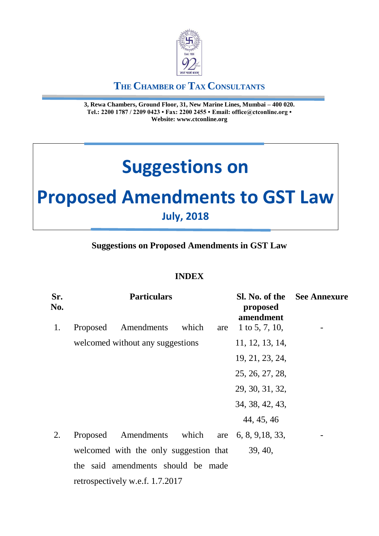

# **THE CHAMBER OF TAX CONSULTANTS**

**3, Rewa Chambers, Ground Floor, 31, New Marine Lines, Mumbai – 400 020. Tel.: 2200 1787 / 2209 0423 • Fax: 2200 2455 • Email: office@ctconline.org • Website: www.ctconline.org**

# **Suggestions on**

# **Proposed Amendments to GST Law**

# **July, 2018**

# **Suggestions on Proposed Amendments in GST Law**

# **INDEX**

| Sr.<br>No. |          | <b>Particulars</b>                     |       |     | proposed<br>amendment | <b>Sl. No. of the</b> See Annexure |
|------------|----------|----------------------------------------|-------|-----|-----------------------|------------------------------------|
| 1.         | Proposed | Amendments                             | which | are | 1 to 5, 7, 10,        |                                    |
|            |          | welcomed without any suggestions       |       |     | 11, 12, 13, 14,       |                                    |
|            |          |                                        |       |     | 19, 21, 23, 24,       |                                    |
|            |          |                                        |       |     | 25, 26, 27, 28,       |                                    |
|            |          |                                        |       |     | 29, 30, 31, 32,       |                                    |
|            |          |                                        |       |     | 34, 38, 42, 43,       |                                    |
|            |          |                                        |       |     | 44, 45, 46            |                                    |
| 2.         | Proposed | Amendments which                       |       | are | 6, 8, 9, 18, 33,      |                                    |
|            |          | welcomed with the only suggestion that |       |     | 39, 40,               |                                    |
|            |          | the said amendments should be made     |       |     |                       |                                    |
|            |          | retrospectively w.e.f. 1.7.2017        |       |     |                       |                                    |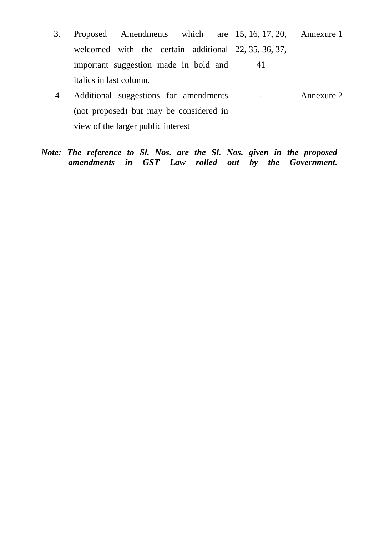- 3. Proposed Amendments which welcomed with the certain additional 22, 35, 36, 37, important suggestion made in bold and italics in last column. 15, 16, 17, 20, Annexure 1 41
- 4 Additional suggestions for amendments (not proposed) but may be considered in view of the larger public interest - Annexure 2

# *Note: The reference to Sl. Nos. are the Sl. Nos. given in the proposed amendments in GST Law rolled out by the Government.*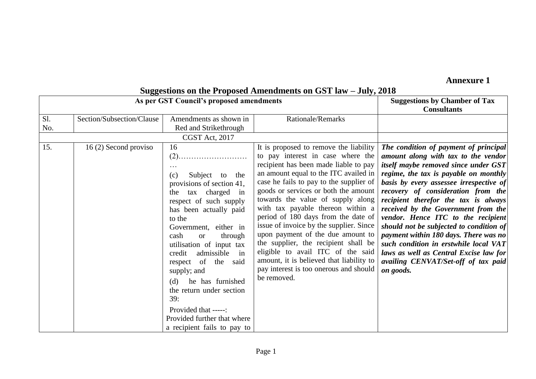# **Annexure 1**

|            |                           | As per GST Council's proposed amendments                                                                                                                                                                                                                                                                                                                                                                                                                                           | $\alpha$ , $\alpha$ , $\alpha$ , $\alpha$ , $\alpha$ , $\alpha$ , $\alpha$ , $\alpha$ , $\alpha$ , $\alpha$ , $\alpha$ , $\alpha$ , $\alpha$ , $\alpha$ , $\alpha$ , $\alpha$ , $\alpha$ , $\alpha$ , $\alpha$ , $\alpha$ , $\alpha$ , $\alpha$ , $\alpha$ , $\alpha$ , $\alpha$ , $\alpha$ , $\alpha$ , $\alpha$ , $\alpha$ , $\alpha$ , $\alpha$ , $\alpha$                                                                                                                                                                                                                                                                       | <b>Suggestions by Chamber of Tax</b><br><b>Consultants</b>                                                                                                                                                                                                                                                                                                                                                                                                                                                                                                                                       |
|------------|---------------------------|------------------------------------------------------------------------------------------------------------------------------------------------------------------------------------------------------------------------------------------------------------------------------------------------------------------------------------------------------------------------------------------------------------------------------------------------------------------------------------|-------------------------------------------------------------------------------------------------------------------------------------------------------------------------------------------------------------------------------------------------------------------------------------------------------------------------------------------------------------------------------------------------------------------------------------------------------------------------------------------------------------------------------------------------------------------------------------------------------------------------------------|--------------------------------------------------------------------------------------------------------------------------------------------------------------------------------------------------------------------------------------------------------------------------------------------------------------------------------------------------------------------------------------------------------------------------------------------------------------------------------------------------------------------------------------------------------------------------------------------------|
| Sl.<br>No. | Section/Subsection/Clause | Amendments as shown in<br>Red and Strikethrough<br>CGST Act, 2017                                                                                                                                                                                                                                                                                                                                                                                                                  | <b>Rationale/Remarks</b>                                                                                                                                                                                                                                                                                                                                                                                                                                                                                                                                                                                                            |                                                                                                                                                                                                                                                                                                                                                                                                                                                                                                                                                                                                  |
| 15.        | 16(2) Second proviso      | 16<br>$\cdots$<br>Subject to<br>the<br>(c)<br>provisions of section 41,<br>tax charged in<br>the<br>respect of such supply<br>has been actually paid<br>to the<br>Government, either in<br>cash<br>through<br><sub>or</sub><br>utilisation of input tax<br>admissible<br>credit<br>in<br>respect of the<br>said<br>supply; and<br>he has furnished<br>(d)<br>the return under section<br>39:<br>Provided that -----:<br>Provided further that where<br>a recipient fails to pay to | It is proposed to remove the liability<br>to pay interest in case where the<br>recipient has been made liable to pay<br>an amount equal to the ITC availed in<br>case he fails to pay to the supplier of<br>goods or services or both the amount<br>towards the value of supply along<br>with tax payable thereon within a<br>period of 180 days from the date of<br>issue of invoice by the supplier. Since<br>upon payment of the due amount to<br>the supplier, the recipient shall be<br>eligible to avail ITC of the said<br>amount, it is believed that liability to<br>pay interest is too onerous and should<br>be removed. | The condition of payment of principal<br>amount along with tax to the vendor<br>itself maybe removed since under GST<br>regime, the tax is payable on monthly<br>basis by every assessee irrespective of<br>recovery of consideration from the<br>recipient therefor the tax is always<br>received by the Government from the<br>vendor. Hence ITC to the recipient<br>should not be subjected to condition of<br>payment within 180 days. There was no<br>such condition in erstwhile local $VAT$<br>laws as well as Central Excise law for<br>availing CENVAT/Set-off of tax paid<br>on goods. |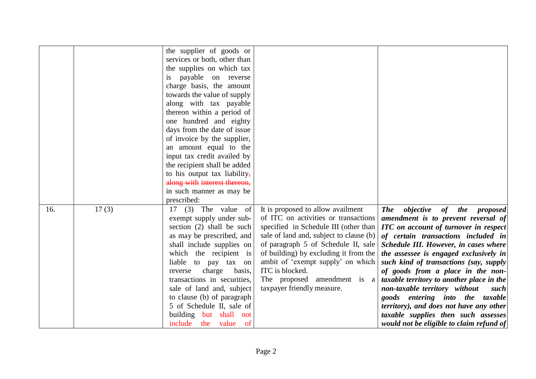|     |       | the supplier of goods or        |                                         |                                                                    |
|-----|-------|---------------------------------|-----------------------------------------|--------------------------------------------------------------------|
|     |       | services or both, other than    |                                         |                                                                    |
|     |       | the supplies on which tax       |                                         |                                                                    |
|     |       | payable on reverse<br><i>is</i> |                                         |                                                                    |
|     |       | charge basis, the amount        |                                         |                                                                    |
|     |       | towards the value of supply     |                                         |                                                                    |
|     |       | along with tax payable          |                                         |                                                                    |
|     |       | thereon within a period of      |                                         |                                                                    |
|     |       |                                 |                                         |                                                                    |
|     |       | one hundred and eighty          |                                         |                                                                    |
|     |       | days from the date of issue     |                                         |                                                                    |
|     |       | of invoice by the supplier,     |                                         |                                                                    |
|     |       | an amount equal to the          |                                         |                                                                    |
|     |       | input tax credit availed by     |                                         |                                                                    |
|     |       | the recipient shall be added    |                                         |                                                                    |
|     |       | to his output tax liability,    |                                         |                                                                    |
|     |       | along with interest thereon,    |                                         |                                                                    |
|     |       | in such manner as may be        |                                         |                                                                    |
|     |       | prescribed:                     |                                         |                                                                    |
| 16. | 17(3) | $17$ (3) The value of           | It is proposed to allow availment       | <b>The</b><br><i>objective</i> of<br><i>the</i><br><i>proposed</i> |
|     |       | exempt supply under sub-        | of ITC on activities or transactions    | amendment is to prevent reversal of                                |
|     |       | section (2) shall be such       | specified in Schedule III (other than   | <b>ITC</b> on account of turnover in respect                       |
|     |       | as may be prescribed, and       | sale of land and, subject to clause (b) | of certain transactions included in                                |
|     |       | shall include supplies on       | of paragraph 5 of Schedule II, sale     | Schedule III. However, in cases where                              |
|     |       | which the recipient is          | of building) by excluding it from the   | the assessee is engaged exclusively in                             |
|     |       | liable to pay tax on            | ambit of 'exempt supply' on which       | such kind of transactions (say, supply                             |
|     |       | charge<br>reverse<br>basis,     | ITC is blocked.                         | of goods from a place in the non-                                  |
|     |       | transactions in securities,     | The proposed amendment is $a \mid$      | taxable territory to another place in the                          |
|     |       | sale of land and, subject       | taxpayer friendly measure.              | non-taxable territory without<br>such                              |
|     |       | to clause (b) of paragraph      |                                         | goods entering into the taxable                                    |
|     |       | 5 of Schedule II, sale of       |                                         | territory), and does not have any other                            |
|     |       | building but shall not          |                                         | taxable supplies then such assesses                                |
|     |       | include the value<br>- of       |                                         | would not be eligible to claim refund of                           |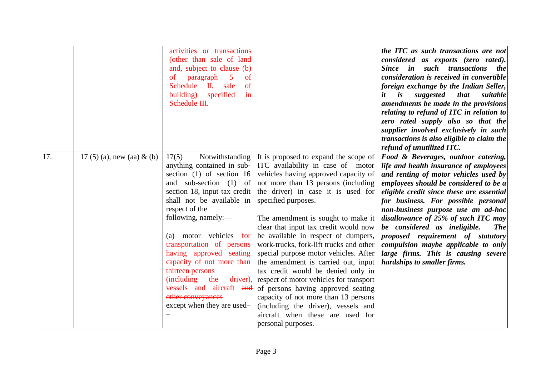|     |                               | activities or transactions<br>(other than sale of land<br>and, subject to clause (b)<br>of<br>paragraph<br>$\mathfrak{S}$<br>of<br>Schedule<br>$\mathbf{II}$<br>sale<br><sub>of</sub><br>specified<br>building)<br>in<br>Schedule III.                                                                                                                                                                                                                                   |                                                                                                                                                                                                                                                                                                                                                                                                                                                                                                                                                                                                                                                                                                                                         | the ITC as such transactions are not<br>considered as exports (zero rated).<br>Since in such transactions<br><i>the</i><br>consideration is received in convertible<br>foreign exchange by the Indian Seller,<br>it<br>$\boldsymbol{i}$ s<br>suggested<br><i>that</i><br>suitable<br>amendments be made in the provisions<br>relating to refund of ITC in relation to<br>zero rated supply also so that the<br>supplier involved exclusively in such<br>transactions is also eligible to claim the<br>refund of unutilized ITC.   |
|-----|-------------------------------|--------------------------------------------------------------------------------------------------------------------------------------------------------------------------------------------------------------------------------------------------------------------------------------------------------------------------------------------------------------------------------------------------------------------------------------------------------------------------|-----------------------------------------------------------------------------------------------------------------------------------------------------------------------------------------------------------------------------------------------------------------------------------------------------------------------------------------------------------------------------------------------------------------------------------------------------------------------------------------------------------------------------------------------------------------------------------------------------------------------------------------------------------------------------------------------------------------------------------------|-----------------------------------------------------------------------------------------------------------------------------------------------------------------------------------------------------------------------------------------------------------------------------------------------------------------------------------------------------------------------------------------------------------------------------------------------------------------------------------------------------------------------------------|
| 17. | 17 (5) (a), new (aa) $\&$ (b) | 17(5)<br>Notwithstanding<br>anything contained in sub-<br>section $(1)$ of section 16<br>and sub-section (1) of<br>section 18, input tax credit<br>shall not be available in<br>respect of the<br>following, namely:-<br>motor vehicles for<br>(a)<br>transportation of persons<br>having approved seating<br>capacity of not more than<br>thirteen persons<br>(including the<br>driver),<br>vessels and aircraft and<br>other conveyances<br>except when they are used- | It is proposed to expand the scope of<br>ITC availability in case of motor<br>vehicles having approved capacity of<br>not more than 13 persons (including<br>the driver) in case it is used for<br>specified purposes.<br>The amendment is sought to make it<br>clear that input tax credit would now<br>be available in respect of dumpers,<br>work-trucks, fork-lift trucks and other<br>special purpose motor vehicles. After<br>the amendment is carried out, input<br>tax credit would be denied only in<br>respect of motor vehicles for transport<br>of persons having approved seating<br>capacity of not more than 13 persons<br>(including the driver), vessels and<br>aircraft when these are used for<br>personal purposes. | Food & Beverages, outdoor catering,<br>life and health insurance of employees<br>and renting of motor vehicles used by<br>employees should be considered to be a<br>eligible credit since these are essential<br>for business. For possible personal<br>non-business purpose use an ad-hoc<br>disallowance of 25% of such ITC may<br>be considered as ineligible.<br><b>The</b><br>proposed requirement of statutory<br>compulsion maybe applicable to only<br>large firms. This is causing severe<br>hardships to smaller firms. |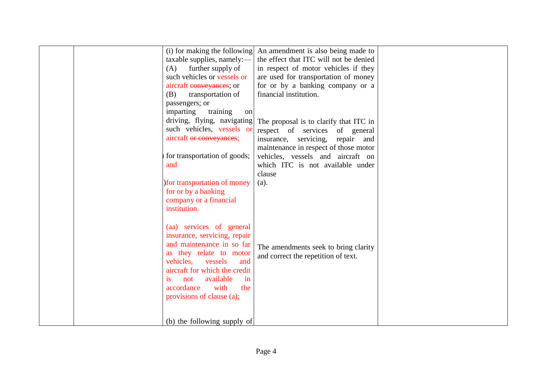| (i) for making the following  | An amendment is also being made to     |  |
|-------------------------------|----------------------------------------|--|
| taxable supplies, namely:—    | the effect that ITC will not be denied |  |
| further supply of<br>(A)      | in respect of motor vehicles if they   |  |
| such vehicles or vessels or   | are used for transportation of money   |  |
| aircraft conveyances; or      | for or by a banking company or a       |  |
| (B)<br>transportation of      | financial institution.                 |  |
| passengers; or                |                                        |  |
| imparting<br>training<br>on   |                                        |  |
| driving, flying, navigating   | The proposal is to clarify that ITC in |  |
| such vehicles, vessels or     | respect of services of general         |  |
| aircraft or conveyances;      | insurance, servicing, repair and       |  |
|                               | maintenance in respect of those motor  |  |
| for transportation of goods;  | vehicles, vessels and aircraft on      |  |
| and                           | which ITC is not available under       |  |
|                               | clause                                 |  |
| ) for transportation of money | $(a)$ .                                |  |
| for or by a banking           |                                        |  |
| company or a financial        |                                        |  |
| institution.                  |                                        |  |
|                               |                                        |  |
| (aa) services of general      |                                        |  |
| insurance, servicing, repair  |                                        |  |
| and maintenance in so far     |                                        |  |
| as they relate to motor       | The amendments seek to bring clarity   |  |
| vehicles.<br>vessels<br>and   | and correct the repetition of text.    |  |
| aircraft for which the credit |                                        |  |
| available<br>not<br>in<br>İS  |                                        |  |
| with<br>accordance<br>the     |                                        |  |
| provisions of clause (a);     |                                        |  |
|                               |                                        |  |
|                               |                                        |  |
| (b) the following supply of   |                                        |  |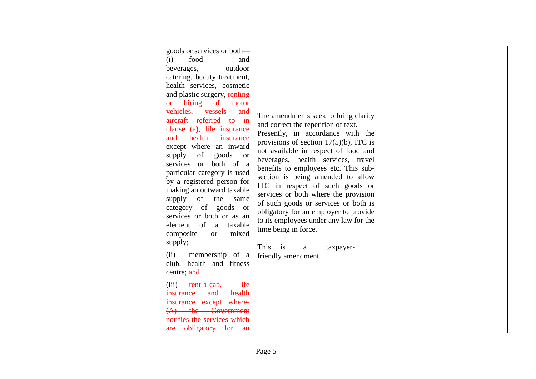|  | goods or services or both-<br>food<br>(i)<br>and<br>outdoor<br>beverages,<br>catering, beauty treatment,<br>health services, cosmetic<br>and plastic surgery, renting<br>or hiring of motor<br>vehicles, vessels<br>and<br>aircraft referred to in<br>clause (a), life insurance<br>health<br>insurance<br>and<br>except where an inward<br>supply of<br>goods or<br>services or both of a<br>particular category is used<br>by a registered person for<br>making an outward taxable<br>supply of the<br>same<br>category of goods or<br>services or both or as an<br>element of a taxable<br>mixed<br>composite<br><sub>or</sub><br>supply;<br>membership of a<br>(ii)<br>club, health and fitness<br>centre; and<br>(iii) rent-a-cab, life<br>health<br>insurance and<br>insurance except where-<br>(A) the Government<br>notifies the services which | The amendments seek to bring clarity<br>and correct the repetition of text.<br>Presently, in accordance with the<br>provisions of section $17(5)(b)$ , ITC is<br>not available in respect of food and<br>beverages, health services, travel<br>benefits to employees etc. This sub-<br>section is being amended to allow<br>ITC in respect of such goods or<br>services or both where the provision<br>of such goods or services or both is<br>obligatory for an employer to provide<br>to its employees under any law for the<br>time being in force.<br>This is<br>a<br>taxpayer-<br>friendly amendment. |  |
|--|---------------------------------------------------------------------------------------------------------------------------------------------------------------------------------------------------------------------------------------------------------------------------------------------------------------------------------------------------------------------------------------------------------------------------------------------------------------------------------------------------------------------------------------------------------------------------------------------------------------------------------------------------------------------------------------------------------------------------------------------------------------------------------------------------------------------------------------------------------|------------------------------------------------------------------------------------------------------------------------------------------------------------------------------------------------------------------------------------------------------------------------------------------------------------------------------------------------------------------------------------------------------------------------------------------------------------------------------------------------------------------------------------------------------------------------------------------------------------|--|
|  | are obligatory for an                                                                                                                                                                                                                                                                                                                                                                                                                                                                                                                                                                                                                                                                                                                                                                                                                                   |                                                                                                                                                                                                                                                                                                                                                                                                                                                                                                                                                                                                            |  |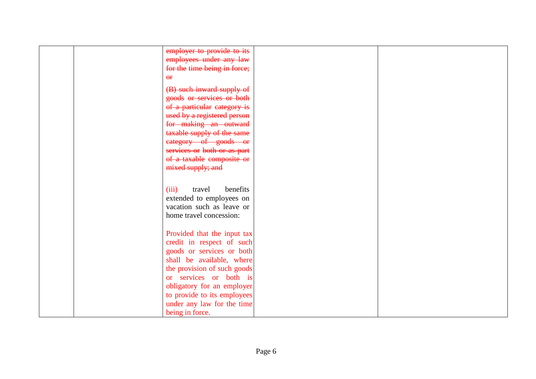| employer to provide to its   |  |
|------------------------------|--|
| employees under any law      |  |
| for the time being in force; |  |
| $\Theta$ <b>F</b>            |  |
|                              |  |
| (B) such inward supply of    |  |
| goods or services or both    |  |
| of a particular category is  |  |
| used by a registered person  |  |
| for making an outward        |  |
| taxable supply of the same   |  |
| category of goods or         |  |
| services or both or as part  |  |
| of a taxable composite or    |  |
| mixed supply; and            |  |
|                              |  |
|                              |  |
| benefits<br>(iii)<br>travel  |  |
| extended to employees on     |  |
| vacation such as leave or    |  |
| home travel concession:      |  |
|                              |  |
| Provided that the input tax  |  |
| credit in respect of such    |  |
| goods or services or both    |  |
| shall be available, where    |  |
| the provision of such goods  |  |
|                              |  |
| or services or both is       |  |
| obligatory for an employer   |  |
| to provide to its employees  |  |
| under any law for the time   |  |
| being in force.              |  |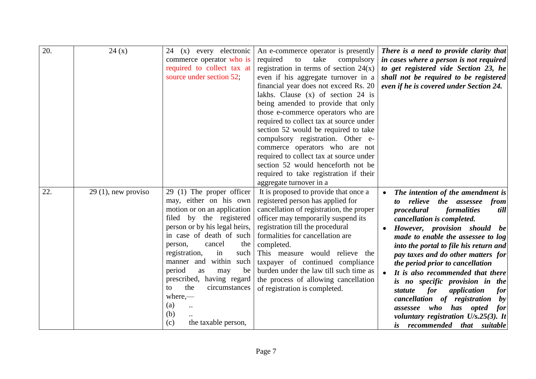| 20. | 24(x)                 | 24 (x) every electronic<br>commerce operator who is<br>required to collect tax at<br>source under section 52;                                                                                                                                                                                                                                                                                                                   | An e-commerce operator is presently<br>required<br>take<br>to<br>compulsory<br>registration in terms of section $24(x)$<br>even if his aggregate turnover in a<br>financial year does not exceed Rs. 20<br>lakhs. Clause $(x)$ of section 24 is<br>being amended to provide that only<br>those e-commerce operators who are<br>required to collect tax at source under<br>section 52 would be required to take<br>compulsory registration. Other e-<br>commerce operators who are not<br>required to collect tax at source under<br>section 52 would henceforth not be<br>required to take registration if their | There is a need to provide clarity that<br>in cases where a person is not required<br>to get registered vide Section 23, he<br>shall not be required to be registered<br>even if he is covered under Section 24.                                                                                                                                                                                                                                                                                                                                                                                                        |
|-----|-----------------------|---------------------------------------------------------------------------------------------------------------------------------------------------------------------------------------------------------------------------------------------------------------------------------------------------------------------------------------------------------------------------------------------------------------------------------|------------------------------------------------------------------------------------------------------------------------------------------------------------------------------------------------------------------------------------------------------------------------------------------------------------------------------------------------------------------------------------------------------------------------------------------------------------------------------------------------------------------------------------------------------------------------------------------------------------------|-------------------------------------------------------------------------------------------------------------------------------------------------------------------------------------------------------------------------------------------------------------------------------------------------------------------------------------------------------------------------------------------------------------------------------------------------------------------------------------------------------------------------------------------------------------------------------------------------------------------------|
| 22. | $29(1)$ , new proviso | 29 (1) The proper officer<br>may, either on his own<br>motion or on an application<br>filed by the registered<br>person or by his legal heirs,<br>in case of death of such<br>the<br>cancel<br>person,<br>registration,<br>such<br>in<br>within such<br>manner and<br>period<br>be<br>as<br>may<br>prescribed, having regard<br>the<br>circumstances<br>$\mathsf{to}$<br>$where, -$<br>(a)<br>(b)<br>(c)<br>the taxable person, | aggregate turnover in a<br>It is proposed to provide that once a<br>registered person has applied for<br>cancellation of registration, the proper<br>officer may temporarily suspend its<br>registration till the procedural<br>formalities for cancellation are<br>completed.<br>This measure would relieve the<br>taxpayer of continued compliance<br>burden under the law till such time as<br>the process of allowing cancellation<br>of registration is completed.                                                                                                                                          | The intention of the amendment is<br>relieve the assessee<br>from<br>to to<br>procedural<br>formalities<br>till<br>cancellation is completed.<br>However, provision should be<br>made to enable the assessee to log<br>into the portal to file his return and<br>pay taxes and do other matters for<br>the period prior to cancellation<br>It is also recommended that there<br>is no specific provision in the<br>for<br>application<br>statute<br>for<br>cancellation of registration<br>$\boldsymbol{b}$<br>assessee who has opted<br>for<br>voluntary registration $U/s.25(3)$ . It<br>is recommended that suitable |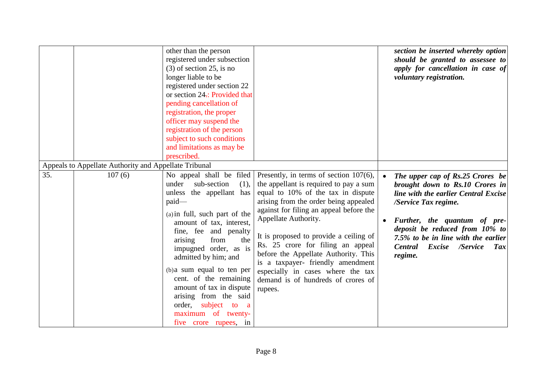|     |                                                       | other than the person<br>registered under subsection<br>$(3)$ of section 25, is no<br>longer liable to be<br>registered under section 22<br>or section 24.: Provided that<br>pending cancellation of<br>registration, the proper<br>officer may suspend the<br>registration of the person<br>subject to such conditions<br>and limitations as may be<br>prescribed.                                                                                     |                                                                                                                                                                                                                                                                                                                                                                                                                                                                                         | section be inserted whereby option<br>should be granted to assessee to<br>apply for cancellation in case of<br>voluntary registration.                                                                                                                                                              |
|-----|-------------------------------------------------------|---------------------------------------------------------------------------------------------------------------------------------------------------------------------------------------------------------------------------------------------------------------------------------------------------------------------------------------------------------------------------------------------------------------------------------------------------------|-----------------------------------------------------------------------------------------------------------------------------------------------------------------------------------------------------------------------------------------------------------------------------------------------------------------------------------------------------------------------------------------------------------------------------------------------------------------------------------------|-----------------------------------------------------------------------------------------------------------------------------------------------------------------------------------------------------------------------------------------------------------------------------------------------------|
|     | Appeals to Appellate Authority and Appellate Tribunal |                                                                                                                                                                                                                                                                                                                                                                                                                                                         |                                                                                                                                                                                                                                                                                                                                                                                                                                                                                         |                                                                                                                                                                                                                                                                                                     |
| 35. | 107(6)                                                | No appeal shall be filed<br>under<br>sub-section<br>(1),<br>unless the appellant has<br>paid-<br>(a) in full, such part of the<br>amount of tax, interest,<br>fine, fee and penalty<br>from<br>arising<br>the<br>impugned order, as is<br>admitted by him; and<br>(b) a sum equal to ten per<br>cent. of the remaining<br>amount of tax in dispute<br>arising from the said<br>subject<br>order,<br>to a<br>maximum of twenty-<br>five crore rupees, in | Presently, in terms of section $107(6)$ ,<br>the appellant is required to pay a sum<br>equal to 10% of the tax in dispute<br>arising from the order being appealed<br>against for filing an appeal before the<br>Appellate Authority.<br>It is proposed to provide a ceiling of<br>Rs. 25 crore for filing an appeal<br>before the Appellate Authority. This<br>is a taxpayer- friendly amendment<br>especially in cases where the tax<br>demand is of hundreds of crores of<br>rupees. | The upper cap of Rs.25 Crores be<br>brought down to Rs.10 Crores in<br>line with the earlier Central Excise<br>/Service Tax regime.<br>Further, the quantum of pre-<br>deposit be reduced from 10% to<br>7.5% to be in line with the earlier<br><b>Central</b><br>Excise /Service<br>Tax<br>regime. |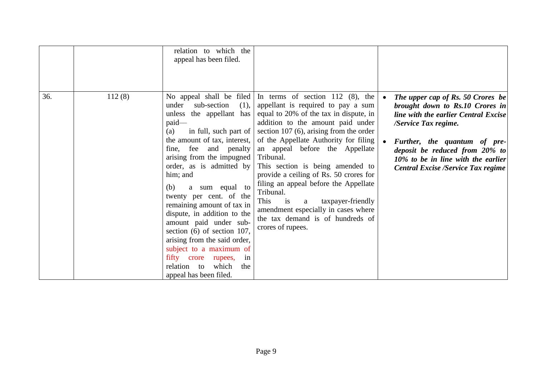| 36. | 112(8) | relation to which the<br>appeal has been filed.<br>No appeal shall be filed                                                                                                                                                                                                                                                                                                                                                                                                                                                                                     | In terms of section 112 $(8)$ , the                                                                                                                                                                                                                                                                                                                                                                                                                                                                                             | The upper cap of Rs. 50 Crores be                                                                                                                                                                                                                    |
|-----|--------|-----------------------------------------------------------------------------------------------------------------------------------------------------------------------------------------------------------------------------------------------------------------------------------------------------------------------------------------------------------------------------------------------------------------------------------------------------------------------------------------------------------------------------------------------------------------|---------------------------------------------------------------------------------------------------------------------------------------------------------------------------------------------------------------------------------------------------------------------------------------------------------------------------------------------------------------------------------------------------------------------------------------------------------------------------------------------------------------------------------|------------------------------------------------------------------------------------------------------------------------------------------------------------------------------------------------------------------------------------------------------|
|     |        | under<br>sub-section<br>(1),<br>unless the appellant has<br>paid-<br>in full, such part of<br>(a)<br>the amount of tax, interest,<br>fine, fee and penalty<br>arising from the impugned<br>order, as is admitted by<br>him; and<br>a sum equal to<br>(b)<br>twenty per cent. of the<br>remaining amount of tax in<br>dispute, in addition to the<br>amount paid under sub-<br>section $(6)$ of section 107,<br>arising from the said order,<br>subject to a maximum of<br>fifty crore<br>rupees,<br>in<br>relation to<br>which<br>the<br>appeal has been filed. | appellant is required to pay a sum<br>equal to 20% of the tax in dispute, in<br>addition to the amount paid under<br>section $107(6)$ , arising from the order<br>of the Appellate Authority for filing<br>an appeal before the Appellate<br>Tribunal.<br>This section is being amended to<br>provide a ceiling of Rs. 50 crores for<br>filing an appeal before the Appellate<br>Tribunal.<br>This is<br>taxpayer-friendly<br>a<br>amendment especially in cases where<br>the tax demand is of hundreds of<br>crores of rupees. | brought down to Rs.10 Crores in<br>line with the earlier Central Excise<br>/Service Tax regime.<br>Further, the quantum of pre-<br>deposit be reduced from 20% to<br>10% to be in line with the earlier<br><b>Central Excise /Service Tax regime</b> |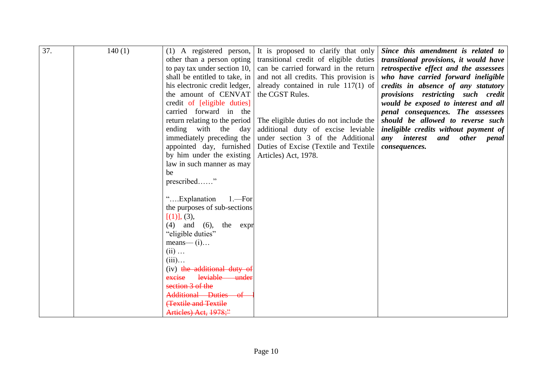| 37. | 140(1) | $(1)$ A registered person,              | It is proposed to clarify that only                                     | Since this amendment is related to                                           |
|-----|--------|-----------------------------------------|-------------------------------------------------------------------------|------------------------------------------------------------------------------|
|     |        | other than a person opting              | transitional credit of eligible duties                                  | transitional provisions, it would have                                       |
|     |        | to pay tax under section 10,            | can be carried forward in the return                                    | retrospective effect and the assessees                                       |
|     |        | shall be entitled to take, in           | and not all credits. This provision is                                  | who have carried forward ineligible                                          |
|     |        | his electronic credit ledger,           | already contained in rule $117(1)$ of                                   | credits in absence of any statutory                                          |
|     |        | the amount of CENVAT                    | the CGST Rules.                                                         | provisions restricting such credit                                           |
|     |        | credit of [eligible duties]             |                                                                         | would be exposed to interest and all                                         |
|     |        | carried forward in the                  |                                                                         | penal consequences. The assessees                                            |
|     |        | return relating to the period           | The eligible duties do not include the                                  | should be allowed to reverse such                                            |
|     |        | ending with the day                     |                                                                         |                                                                              |
|     |        | immediately preceding the               | additional duty of excise leviable<br>under section 3 of the Additional | ineligible credits without payment of<br>any interest<br><i>other</i><br>and |
|     |        |                                         |                                                                         | penal                                                                        |
|     |        | appointed day, furnished                | Duties of Excise (Textile and Textile                                   | consequences.                                                                |
|     |        | by him under the existing               | Articles) Act, 1978.                                                    |                                                                              |
|     |        | law in such manner as may               |                                                                         |                                                                              |
|     |        | be                                      |                                                                         |                                                                              |
|     |        | prescribed"                             |                                                                         |                                                                              |
|     |        |                                         |                                                                         |                                                                              |
|     |        | "Explanation<br>$1 - For$               |                                                                         |                                                                              |
|     |        | the purposes of sub-sections            |                                                                         |                                                                              |
|     |        | [(1)], (3),                             |                                                                         |                                                                              |
|     |        | $(4)$ and $(6)$ ,<br>the expr           |                                                                         |                                                                              |
|     |        | "eligible duties"                       |                                                                         |                                                                              |
|     |        | $means$ $\qquad$ $(i)$                  |                                                                         |                                                                              |
|     |        | $(ii) \dots$                            |                                                                         |                                                                              |
|     |        | $(iii)$                                 |                                                                         |                                                                              |
|     |        | (iv) the additional duty of             |                                                                         |                                                                              |
|     |        | leviable<br>excise<br><del>-under</del> |                                                                         |                                                                              |
|     |        | section 3 of the                        |                                                                         |                                                                              |
|     |        | Additional Duties<br>—of                |                                                                         |                                                                              |
|     |        | <b>Textile and Textile</b>              |                                                                         |                                                                              |
|     |        | Artieles) Act, 1978;"                   |                                                                         |                                                                              |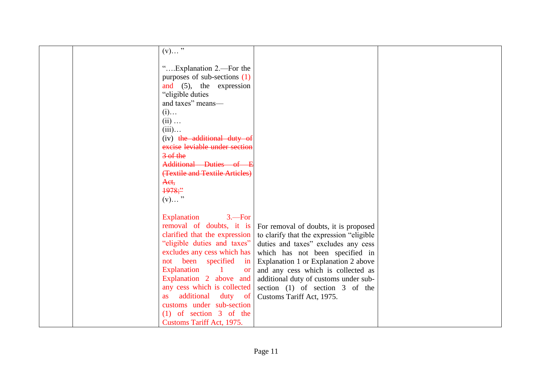| $(v) \ldots$ <sup>77</sup>            |                                          |  |
|---------------------------------------|------------------------------------------|--|
|                                       |                                          |  |
| "Explanation 2.—For the               |                                          |  |
| purposes of sub-sections (1)          |                                          |  |
| and (5), the expression               |                                          |  |
| "eligible duties"                     |                                          |  |
| and taxes" means-                     |                                          |  |
| $(i)$                                 |                                          |  |
| $(ii) \dots$                          |                                          |  |
| $(iii)$                               |                                          |  |
| (iv) the additional duty of           |                                          |  |
| excise leviable under section         |                                          |  |
| $\frac{3}{5}$ of the                  |                                          |  |
| Additional Duties of E                |                                          |  |
| (Textile and Textile Articles)        |                                          |  |
|                                       |                                          |  |
| Aet,                                  |                                          |  |
| 1978;                                 |                                          |  |
| $(v)$ "                               |                                          |  |
|                                       |                                          |  |
| Explanation<br>$3 - For$              |                                          |  |
| removal of doubts, it is              | For removal of doubts, it is proposed    |  |
| clarified that the expression         | to clarify that the expression "eligible |  |
| "eligible duties and taxes"           | duties and taxes" excludes any cess      |  |
| excludes any cess which has           | which has not been specified in          |  |
| not been specified<br>in              | Explanation 1 or Explanation 2 above     |  |
| Explanation<br>$\vert$ 1<br><b>or</b> | and any cess which is collected as       |  |
| Explanation 2 above and               | additional duty of customs under sub-    |  |
| any cess which is collected           | section $(1)$ of section 3 of the        |  |
| additional<br>duty of<br><b>as</b>    | Customs Tariff Act, 1975.                |  |
| customs under sub-section             |                                          |  |
| $(1)$ of section 3 of the             |                                          |  |
| Customs Tariff Act, 1975.             |                                          |  |
|                                       |                                          |  |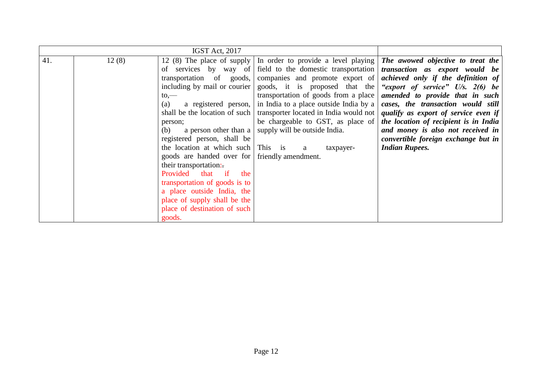| 41. | 12(8) | of services by way of<br>transportation of goods,<br>including by mail or courier<br>to,<br>(a)<br>person;<br>a person other than a<br>(b)<br>registered person, shall be<br>the location at which such This is<br>goods are handed over for friendly amendment.<br>their transportation:<br>Provided that if the<br>transportation of goods is to<br>a place outside India, the<br>place of supply shall be the<br>place of destination of such<br>goods. | 12 (8) The place of supply   In order to provide a level playing   The awowed objective to treat the<br>companies and promote export of<br>transportation of goods from a place<br>a registered person, in India to a place outside India by a<br>shall be the location of such   transporter located in India would not  <br>be chargeable to GST, as place of<br>supply will be outside India.<br>$\mathbf{a}$<br>taxpayer- | field to the domestic transportation <i>transaction</i> as export would be<br>achieved only if the definition of<br>goods, it is proposed that the "export of service" U/s. 2(6) be<br>amended to provide that in such<br>cases, the transaction would still<br>qualify as export of service even if<br>the location of recipient is in India<br>and money is also not received in<br>convertible foreign exchange but in<br><b>Indian Rupees.</b> |
|-----|-------|------------------------------------------------------------------------------------------------------------------------------------------------------------------------------------------------------------------------------------------------------------------------------------------------------------------------------------------------------------------------------------------------------------------------------------------------------------|-------------------------------------------------------------------------------------------------------------------------------------------------------------------------------------------------------------------------------------------------------------------------------------------------------------------------------------------------------------------------------------------------------------------------------|----------------------------------------------------------------------------------------------------------------------------------------------------------------------------------------------------------------------------------------------------------------------------------------------------------------------------------------------------------------------------------------------------------------------------------------------------|